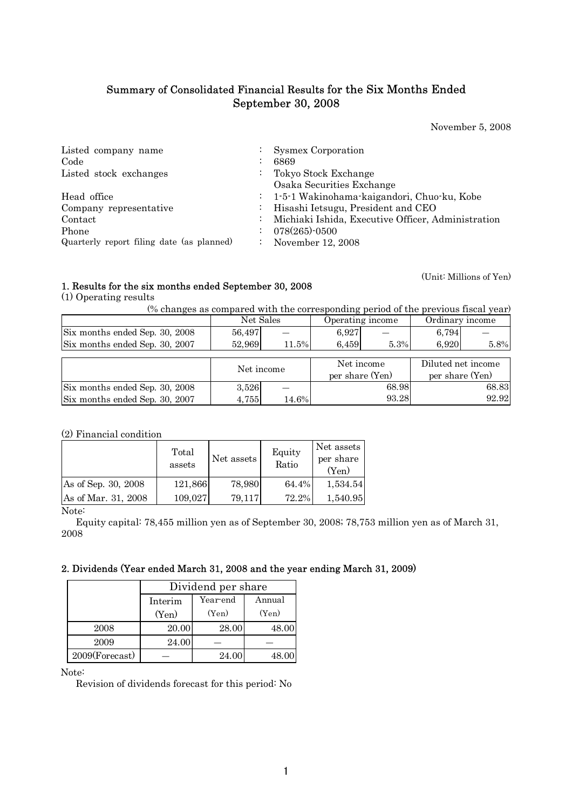# Summary of Consolidated Financial Results for the Six Months Ended September 30, 2008

November 5, 2008

(Unit: Millions of Yen)

| Listed company name<br>Code<br>Listed stock exchanges     | ÷.                              | <b>Sysmex Corporation</b><br>6869<br>Tokyo Stock Exchange<br>Osaka Securities Exchange                                                                    |
|-----------------------------------------------------------|---------------------------------|-----------------------------------------------------------------------------------------------------------------------------------------------------------|
| Head office<br>Company representative<br>Contact<br>Phone | $\mathbb{Z}^{\mathbb{Z}}$<br>÷. | : 1-5-1 Wakinohama-kaigandori, Chuo-ku, Kobe<br>Hisashi Ietsugu, President and CEO<br>Michiaki Ishida, Executive Officer, Administration<br>078(265)-0500 |
| Quarterly report filing date (as planned)                 | ÷                               | November 12, 2008                                                                                                                                         |

# 1. Results for the six months ended September 30, 2008

(1) Operating results

(% changes as compared with the corresponding period of the previous fiscal year)

|                                |            | Net Sales | Operating income |       | Ordinary income    |       |
|--------------------------------|------------|-----------|------------------|-------|--------------------|-------|
| Six months ended Sep. 30, 2008 | 56,497     |           | 6,927            |       | 6.794              |       |
| Six months ended Sep. 30, 2007 | 52,969     | 11.5%     | 6,459            | 5.3%  | 6,920              | 5.8%  |
|                                |            |           |                  |       |                    |       |
|                                | Net income |           | Net income       |       | Diluted net income |       |
|                                |            |           | per share (Yen)  |       | per share (Yen)    |       |
| Six months ended Sep. 30, 2008 | 3,526      |           |                  | 68.98 |                    | 68.83 |
| Six months ended Sep. 30, 2007 | 4,755      | 14.6%     |                  | 93.28 |                    | 92.92 |

(2) Financial condition

|                     | Total<br>assets | Net assets | Equity<br>Ratio | Net assets<br>per share<br>(Yen) |
|---------------------|-----------------|------------|-----------------|----------------------------------|
| As of Sep. 30, 2008 | 121,866         | 78,980     | 64.4%           | 1,534.54                         |
| As of Mar. 31, 2008 | 109,027         | 79,117     | 72.2%           | 1,540.95                         |

Note:

Equity capital: 78,455 million yen as of September 30, 2008; 78,753 million yen as of March 31, 2008

# 2. Dividends (Year ended March 31, 2008 and the year ending March 31, 2009)

|                | Dividend per share            |       |       |  |  |  |  |  |
|----------------|-------------------------------|-------|-------|--|--|--|--|--|
|                | Year-end<br>Annual<br>Interim |       |       |  |  |  |  |  |
|                | (Yen)                         | (Yen) | (Yen) |  |  |  |  |  |
| 2008           | 20.00                         | 28.00 | 48.00 |  |  |  |  |  |
| 2009           | 24.00                         |       |       |  |  |  |  |  |
| 2009(Forecast) |                               | 24.00 | 48.00 |  |  |  |  |  |

Note:

Revision of dividends forecast for this period: No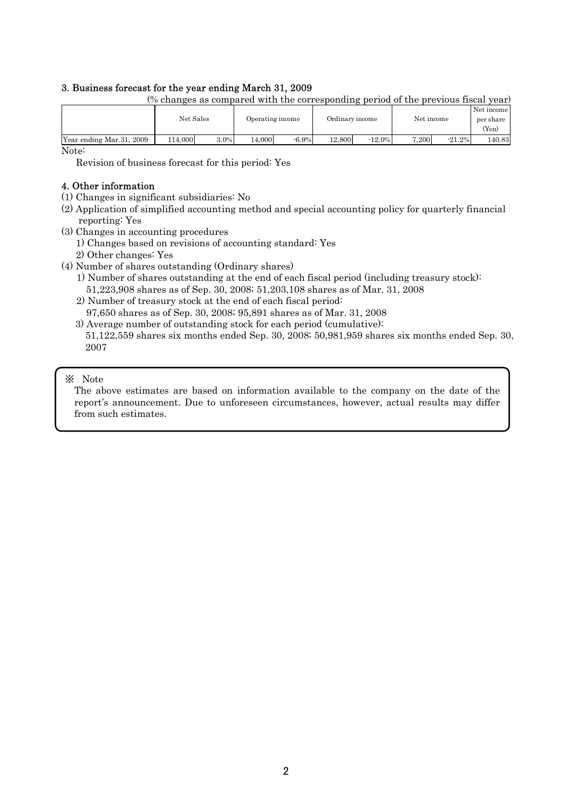# 3. Business forecast for the year ending March 31, 2009

|                          |           |      |        |                  | Net income<br>Ordinary income |           |       |                    | Net income |
|--------------------------|-----------|------|--------|------------------|-------------------------------|-----------|-------|--------------------|------------|
|                          | Net Sales |      |        | Operating income |                               |           |       | per share<br>(Yen) |            |
| Year ending Mar.31, 2009 | 114.000   | 3.0% | 14.000 | $-6.9\%$         | 12,800                        | $-12.0\%$ | 7.200 | $-21.2%$           | 140.83     |

(% changes as compared with the corresponding period of the previous fiscal year)

Note:

Revision of business forecast for this period: Yes

## 4. Other information

- (1) Changes in significant subsidiaries: No
- (2) Application of simplified accounting method and special accounting policy for quarterly financial reporting: Yes
- (3) Changes in accounting procedures
	- 1) Changes based on revisions of accounting standard: Yes
	- 2) Other changes: Yes
- (4) Number of shares outstanding (Ordinary shares)
	- 1) Number of shares outstanding at the end of each fiscal period (including treasury stock): 51,223,908 shares as of Sep. 30, 2008; 51,203,108 shares as of Mar. 31, 2008
	- 2) Number of treasury stock at the end of each fiscal period: 97,650 shares as of Sep. 30, 2008; 95,891 shares as of Mar. 31, 2008
	- 3) Average number of outstanding stock for each period (cumulative): 51,122,559 shares six months ended Sep. 30, 2008; 50,981,959 shares six months ended Sep. 30, 2007

## ※ Note

The above estimates are based on information available to the company on the date of the report's announcement. Due to unforeseen circumstances, however, actual results may differ from such estimates.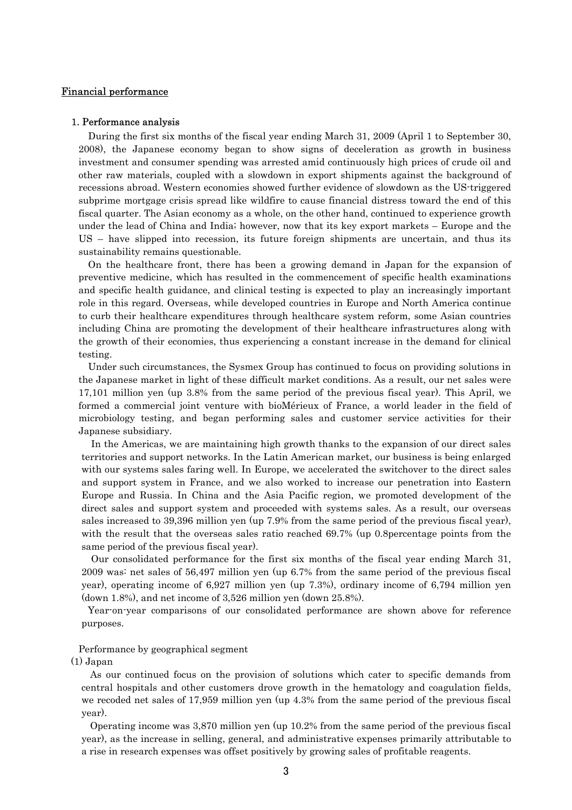#### Financial performance

#### 1. Performance analysis

During the first six months of the fiscal year ending March 31, 2009 (April 1 to September 30, 2008), the Japanese economy began to show signs of deceleration as growth in business investment and consumer spending was arrested amid continuously high prices of crude oil and other raw materials, coupled with a slowdown in export shipments against the background of recessions abroad. Western economies showed further evidence of slowdown as the US-triggered subprime mortgage crisis spread like wildfire to cause financial distress toward the end of this fiscal quarter. The Asian economy as a whole, on the other hand, continued to experience growth under the lead of China and India; however, now that its key export markets – Europe and the US – have slipped into recession, its future foreign shipments are uncertain, and thus its sustainability remains questionable.

On the healthcare front, there has been a growing demand in Japan for the expansion of preventive medicine, which has resulted in the commencement of specific health examinations and specific health guidance, and clinical testing is expected to play an increasingly important role in this regard. Overseas, while developed countries in Europe and North America continue to curb their healthcare expenditures through healthcare system reform, some Asian countries including China are promoting the development of their healthcare infrastructures along with the growth of their economies, thus experiencing a constant increase in the demand for clinical testing.

Under such circumstances, the Sysmex Group has continued to focus on providing solutions in the Japanese market in light of these difficult market conditions. As a result, our net sales were 17,101 million yen (up 3.8% from the same period of the previous fiscal year). This April, we formed a commercial joint venture with bioMérieux of France, a world leader in the field of microbiology testing, and began performing sales and customer service activities for their Japanese subsidiary.

In the Americas, we are maintaining high growth thanks to the expansion of our direct sales territories and support networks. In the Latin American market, our business is being enlarged with our systems sales faring well. In Europe, we accelerated the switchover to the direct sales and support system in France, and we also worked to increase our penetration into Eastern Europe and Russia. In China and the Asia Pacific region, we promoted development of the direct sales and support system and proceeded with systems sales. As a result, our overseas sales increased to 39,396 million yen (up 7.9% from the same period of the previous fiscal year), with the result that the overseas sales ratio reached 69.7% (up 0.8 percentage points from the same period of the previous fiscal year).

Our consolidated performance for the first six months of the fiscal year ending March 31, 2009 was: net sales of 56,497 million yen (up 6.7% from the same period of the previous fiscal year), operating income of 6,927 million yen (up 7.3%), ordinary income of 6,794 million yen (down 1.8%), and net income of 3,526 million yen (down 25.8%).

Year-on-year comparisons of our consolidated performance are shown above for reference purposes.

#### Performance by geographical segment

(1) Japan

As our continued focus on the provision of solutions which cater to specific demands from central hospitals and other customers drove growth in the hematology and coagulation fields, we recoded net sales of 17,959 million yen (up 4.3% from the same period of the previous fiscal year).

Operating income was 3,870 million yen (up 10.2% from the same period of the previous fiscal year), as the increase in selling, general, and administrative expenses primarily attributable to a rise in research expenses was offset positively by growing sales of profitable reagents.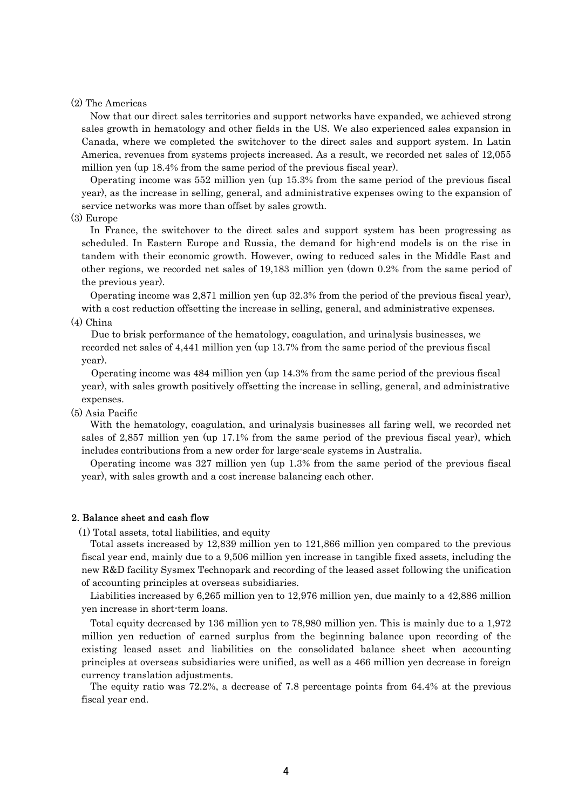#### (2) The Americas

Now that our direct sales territories and support networks have expanded, we achieved strong sales growth in hematology and other fields in the US. We also experienced sales expansion in Canada, where we completed the switchover to the direct sales and support system. In Latin America, revenues from systems projects increased. As a result, we recorded net sales of 12,055 million yen (up 18.4% from the same period of the previous fiscal year).

Operating income was 552 million yen (up 15.3% from the same period of the previous fiscal year), as the increase in selling, general, and administrative expenses owing to the expansion of service networks was more than offset by sales growth.

#### (3) Europe

In France, the switchover to the direct sales and support system has been progressing as scheduled. In Eastern Europe and Russia, the demand for high-end models is on the rise in tandem with their economic growth. However, owing to reduced sales in the Middle East and other regions, we recorded net sales of 19,183 million yen (down 0.2% from the same period of the previous year).

Operating income was 2,871 million yen (up 32.3% from the period of the previous fiscal year), with a cost reduction offsetting the increase in selling, general, and administrative expenses.

# (4) China

Due to brisk performance of the hematology, coagulation, and urinalysis businesses, we recorded net sales of 4,441 million yen (up 13.7% from the same period of the previous fiscal year).

Operating income was 484 million yen (up 14.3% from the same period of the previous fiscal year), with sales growth positively offsetting the increase in selling, general, and administrative expenses.

(5) Asia Pacific

With the hematology, coagulation, and urinalysis businesses all faring well, we recorded net sales of 2,857 million yen (up 17.1% from the same period of the previous fiscal year), which includes contributions from a new order for large-scale systems in Australia.

Operating income was 327 million yen (up 1.3% from the same period of the previous fiscal year), with sales growth and a cost increase balancing each other.

#### 2. Balance sheet and cash flow

(1) Total assets, total liabilities, and equity

Total assets increased by 12,839 million yen to 121,866 million yen compared to the previous fiscal year end, mainly due to a 9,506 million yen increase in tangible fixed assets, including the new R&D facility Sysmex Technopark and recording of the leased asset following the unification of accounting principles at overseas subsidiaries.

Liabilities increased by 6,265 million yen to 12,976 million yen, due mainly to a 42,886 million yen increase in short-term loans.

Total equity decreased by 136 million yen to 78,980 million yen. This is mainly due to a 1,972 million yen reduction of earned surplus from the beginning balance upon recording of the existing leased asset and liabilities on the consolidated balance sheet when accounting principles at overseas subsidiaries were unified, as well as a 466 million yen decrease in foreign currency translation adjustments.

The equity ratio was 72.2%, a decrease of 7.8 percentage points from 64.4% at the previous fiscal year end.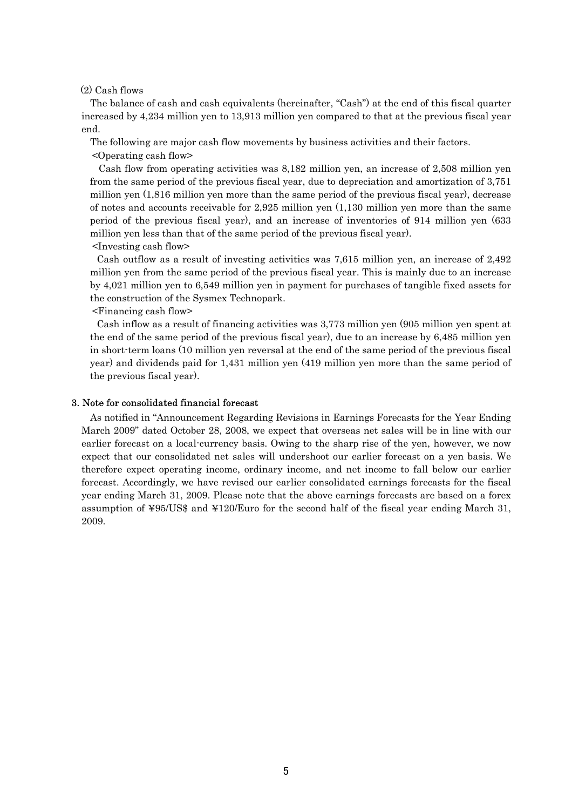(2) Cash flows

The balance of cash and cash equivalents (hereinafter, "Cash") at the end of this fiscal quarter increased by 4,234 million yen to 13,913 million yen compared to that at the previous fiscal year end.

The following are major cash flow movements by business activities and their factors.

<Operating cash flow>

Cash flow from operating activities was 8,182 million yen, an increase of 2,508 million yen from the same period of the previous fiscal year, due to depreciation and amortization of 3,751 million yen (1,816 million yen more than the same period of the previous fiscal year), decrease of notes and accounts receivable for 2,925 million yen (1,130 million yen more than the same period of the previous fiscal year), and an increase of inventories of 914 million yen (633 million yen less than that of the same period of the previous fiscal year). <Investing cash flow>

Cash outflow as a result of investing activities was 7,615 million yen, an increase of 2,492 million yen from the same period of the previous fiscal year. This is mainly due to an increase by 4,021 million yen to 6,549 million yen in payment for purchases of tangible fixed assets for the construction of the Sysmex Technopark.

<Financing cash flow>

Cash inflow as a result of financing activities was 3,773 million yen (905 million yen spent at the end of the same period of the previous fiscal year), due to an increase by 6,485 million yen in short-term loans (10 million yen reversal at the end of the same period of the previous fiscal year) and dividends paid for 1,431 million yen (419 million yen more than the same period of the previous fiscal year).

#### 3. Note for consolidated financial forecast

As notified in "Announcement Regarding Revisions in Earnings Forecasts for the Year Ending March 2009" dated October 28, 2008, we expect that overseas net sales will be in line with our earlier forecast on a local-currency basis. Owing to the sharp rise of the yen, however, we now expect that our consolidated net sales will undershoot our earlier forecast on a yen basis. We therefore expect operating income, ordinary income, and net income to fall below our earlier forecast. Accordingly, we have revised our earlier consolidated earnings forecasts for the fiscal year ending March 31, 2009. Please note that the above earnings forecasts are based on a forex assumption of ¥95/US\$ and ¥120/Euro for the second half of the fiscal year ending March 31, 2009.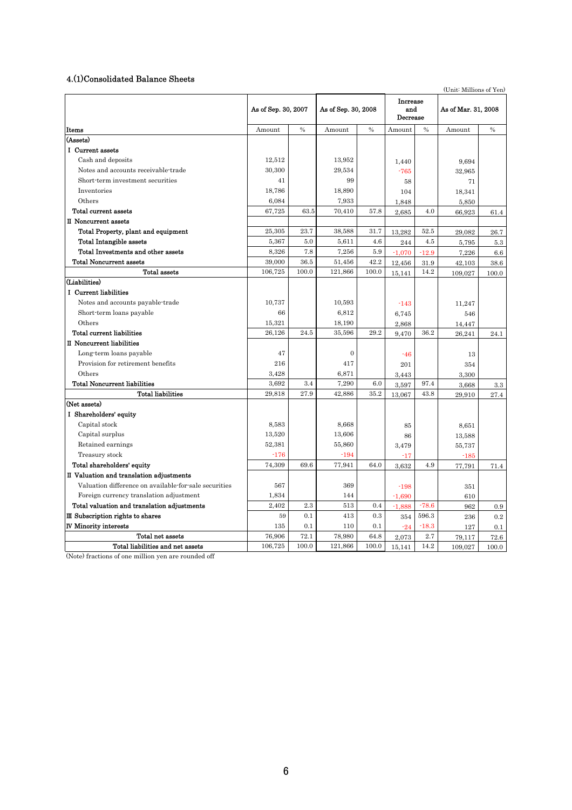#### 4.(1)Consolidated Balance Sheets

(Unit: Millions of Yen)

|                                                       | As of Sep. 30, 2007 |               | As of Sep. 30, 2008 |               | <b>Increase</b><br>and<br>Decrease |               | As of Mar. 31, 2008 |               |
|-------------------------------------------------------|---------------------|---------------|---------------------|---------------|------------------------------------|---------------|---------------------|---------------|
| Items                                                 | Amount              | $\frac{0}{0}$ | Amount              | $\frac{0}{0}$ | Amount                             | $\frac{0}{0}$ | Amount              | $\frac{0}{0}$ |
| (Assets)                                              |                     |               |                     |               |                                    |               |                     |               |
| I Current assets                                      |                     |               |                     |               |                                    |               |                     |               |
| Cash and deposits                                     | 12,512              |               | 13,952              |               | 1,440                              |               | 9,694               |               |
| Notes and accounts receivable-trade                   | 30,300              |               | 29,534              |               | $-765$                             |               | 32,965              |               |
| Short-term investment securities                      | 41                  |               | 99                  |               | 58                                 |               | 71                  |               |
| Inventories                                           | 18,786              |               | 18,890              |               | 104                                |               | 18,341              |               |
| Others                                                | 6,084               |               | 7,933               |               | 1,848                              |               | 5,850               |               |
| Total current assets                                  | 67,725              | 63.5          | 70.410              | 57.8          | 2,685                              | 4.0           | 66,923              | 61.4          |
| II Noncurrent assets                                  |                     |               |                     |               |                                    |               |                     |               |
| Total Property, plant and equipment                   | 25.305              | 23.7          | 38,588              | 31.7          | 13,282                             | 52.5          | 29,082              | 26.7          |
| <b>Total Intangible assets</b>                        | 5,367               | 5.0           | 5,611               | 4.6           | 244                                | 4.5           | 5,795               | 5.3           |
| Total Investments and other assets                    | 8,326               | 7.8           | 7,256               | 5.9           | $-1,070$                           | $-12.9$       | 7,226               | 6.6           |
| <b>Total Noncurrent assets</b>                        | 39,000              | 36.5          | 51,456              | 42.2          | 12,456                             | 31.9          | 42,103              | 38.6          |
| <b>Total assets</b>                                   | 106,725             | 100.0         | 121,866             | 100.0         | 15,141                             | 14.2          | 109,027             | 100.0         |
| (Liabilities)                                         |                     |               |                     |               |                                    |               |                     |               |
| I Current liabilities                                 |                     |               |                     |               |                                    |               |                     |               |
| Notes and accounts payable-trade                      | 10.737              |               | 10,593              |               | $-143$                             |               | 11,247              |               |
| Short-term loans payable                              | 66                  |               | 6,812               |               | 6,745                              |               | 546                 |               |
| Others                                                | 15,321              |               | 18,190              |               | 2,868                              |               | 14,447              |               |
| Total current liabilities                             | 26,126              | 24.5          | 35,596              | 29.2          | 9,470                              | 36.2          | 26,241              | 24.1          |
| II Noncurrent liabilities                             |                     |               |                     |               |                                    |               |                     |               |
| Long-term loans payable                               | 47                  |               | $\overline{0}$      |               | $-46$                              |               | 13                  |               |
| Provision for retirement benefits                     | 216                 |               | 417                 |               | 201                                |               | 354                 |               |
| Others                                                | 3,428               |               | 6,871               |               | 3,443                              |               | 3,300               |               |
| <b>Total Noncurrent liabilities</b>                   | 3,692               | 3.4           | 7,290               | 6.0           | 3,597                              | 97.4          | 3,668               | 3.3           |
| <b>Total liabilities</b>                              | 29,818              | 27.9          | 42,886              | 35.2          | 13,067                             | 43.8          | 29,910              | 27.4          |
| (Net assets)                                          |                     |               |                     |               |                                    |               |                     |               |
| I Shareholders' equity                                |                     |               |                     |               |                                    |               |                     |               |
| Capital stock                                         | 8,583               |               | 8,668               |               | 85                                 |               | 8,651               |               |
| Capital surplus                                       | 13,520              |               | 13,606              |               | 86                                 |               | 13,588              |               |
| Retained earnings                                     | 52,381              |               | 55,860              |               | 3,479                              |               | 55,737              |               |
| Treasury stock                                        | $-176$              |               | $-194$              |               | $-17$                              |               | $-185$              |               |
| Total shareholders' equity                            | 74,309              | 69.6          | 77,941              | 64.0          | 3,632                              | 4.9           | 77,791              | 71.4          |
| II Valuation and translation adjustments              |                     |               |                     |               |                                    |               |                     |               |
| Valuation difference on available-for-sale securities | 567                 |               | 369                 |               | $-198$                             |               | 351                 |               |
| Foreign currency translation adjustment               | 1,834               |               | 144                 |               | $-1,690$                           |               | 610                 |               |
| Total valuation and translation adjustments           | 2,402               | 2.3           | 513                 | 0.4           | $-1.888$                           | $-78.6$       | 962                 | 0.9           |
| III Subscription rights to shares                     | 59                  | 0.1           | 413                 | 0.3           | 354                                | 596.3         | 236                 | 0.2           |
| <b>IV Minority interests</b>                          | 135                 | 0.1           | 110                 | 0.1           | $-9.4$                             | $-18.3$       | 127                 | 0.1           |
| Total net assets                                      | 76,906              | 72.1          | 78,980              | 64.8          | 2,073                              | 2.7           | 79,117              | 72.6          |
| Total liabilities and net assets                      | 106,725             | 100.0         | 121,866             | 100.0         | 15,141                             | 14.2          | 109,027             | 100.0         |

(Note) fractions of one million yen are rounded off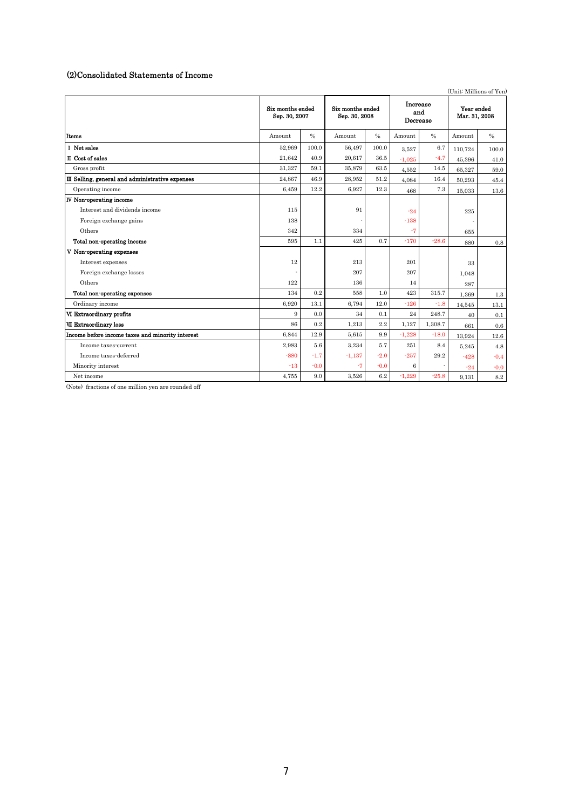# (2)Consolidated Statements of Income

|                                                  | (Unit: Millions of Yen)                                                |               |                             |               |                             |               |         |         |
|--------------------------------------------------|------------------------------------------------------------------------|---------------|-----------------------------|---------------|-----------------------------|---------------|---------|---------|
|                                                  | Six months ended<br>Six months ended<br>Sep. 30, 2007<br>Sep. 30, 2008 |               | Increase<br>and<br>Decrease |               | Year ended<br>Mar. 31, 2008 |               |         |         |
| <b>Items</b>                                     | Amount                                                                 | $\frac{0}{0}$ | Amount                      | $\frac{0}{0}$ | Amount                      | $\frac{0}{0}$ | Amount  | $\%$    |
| I Net sales                                      | 52,969                                                                 | 100.0         | 56,497                      | 100.0         | 3.527                       | 6.7           | 110.724 | 100.0   |
| II Cost of sales                                 | 21.642                                                                 | 40.9          | 20,617                      | 36.5          | $-1.025$                    | $-4.7$        | 45.396  | 41.0    |
| Gross profit                                     | 31.327                                                                 | 59.1          | 35,879                      | 63.5          | 4,552                       | $14.5\,$      | 65,327  | 59.0    |
| III Selling, general and administrative expenses | 24,867                                                                 | 46.9          | 28,952                      | 51.2          | 4.084                       | 16.4          | 50.293  | 45.4    |
| Operating income                                 | 6,459                                                                  | 12.2          | 6,927                       | 12.3          | 468                         | 7.3           | 15,033  | 13.6    |
| <b>IV</b> Non-operating income                   |                                                                        |               |                             |               |                             |               |         |         |
| Interest and dividends income                    | 115                                                                    |               | 91                          |               | $-24$                       |               | 225     |         |
| Foreign exchange gains                           | 138                                                                    |               |                             |               | $-138$                      |               |         |         |
| Others                                           | 342                                                                    |               | 334                         |               | $-7$                        |               | 655     |         |
| Total non-operating income                       | 595                                                                    | 1.1           | 425                         | 0.7           | $-170$                      | $-28.6$       | 880     | 0.8     |
| V Non-operating expenses                         |                                                                        |               |                             |               |                             |               |         |         |
| Interest expenses                                | 12                                                                     |               | 213                         |               | 201                         |               | 33      |         |
| Foreign exchange losses                          |                                                                        |               | 207                         |               | 207                         |               | 1,048   |         |
| Others                                           | 122                                                                    |               | 136                         |               | 14                          |               | 287     |         |
| Total non-operating expenses                     | 134                                                                    | 0.2           | 558                         | 1.0           | 423                         | 315.7         | 1,369   | $1.3\,$ |
| Ordinary income                                  | 6.920                                                                  | 13.1          | 6,794                       | 12.0          | $-126$                      | $-1.8$        | 14,545  | 13.1    |
| VI Extraordinary profits                         | 9                                                                      | 0.0           | 34                          | 0.1           | 24                          | 248.7         | 40      | 0.1     |
| <b>VII Extraordinary loss</b>                    | 86                                                                     | 0.2           | 1.213                       | 2.2           | 1.127                       | 1,308.7       | 661     | 0.6     |
| Income before income taxes and minority interest | 6,844                                                                  | 12.9          | 5,615                       | 9.9           | $-1,228$                    | $-18.0$       | 13,924  | 12.6    |
| Income taxes-current                             | 2,983                                                                  | 5.6           | 3,234                       | 5.7           | 251                         | 8.4           | 5,245   | 4.8     |
| Income taxes-deferred                            | $-880$                                                                 | $-1.7$        | $-1,137$                    | $-2.0$        | $-257$                      | 29.2          | $-428$  | $-0.4$  |
| Minority interest                                | $-13$                                                                  | $-0.0$        | $-7$                        | $-0.0$        | 6                           |               | $-24$   | $-0.0$  |
| Net income                                       | 4,755                                                                  | 9.0           | 3,526                       | $6.2\,$       | $-1,229$                    | $-25.8$       | 9.131   | $8.2\,$ |

(Note) fractions of one million yen are rounded off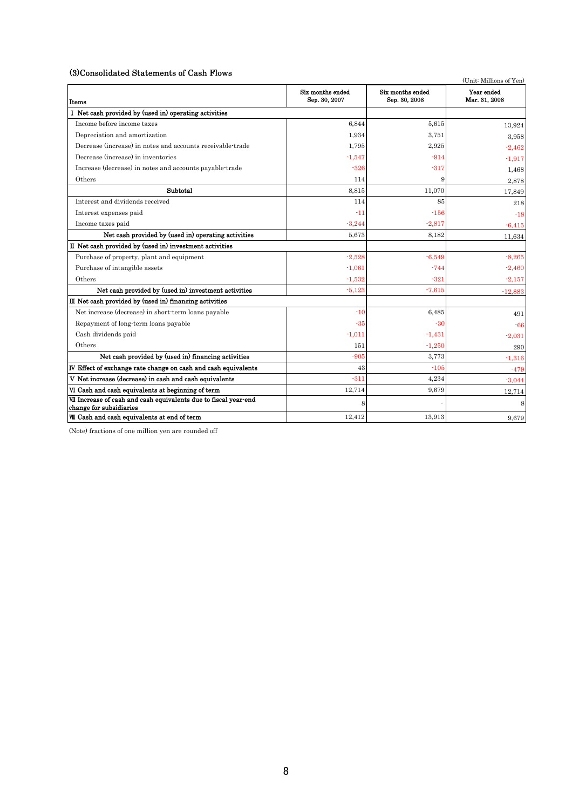## (3)Consolidated Statements of Cash Flows

| so consolidated statements of cash Flows                                                    |                                   | (Unit: Millions of Yen)           |                             |
|---------------------------------------------------------------------------------------------|-----------------------------------|-----------------------------------|-----------------------------|
| Items                                                                                       | Six months ended<br>Sep. 30, 2007 | Six months ended<br>Sep. 30, 2008 | Year ended<br>Mar. 31, 2008 |
| I Net cash provided by (used in) operating activities                                       |                                   |                                   |                             |
| Income before income taxes                                                                  | 6.844                             | 5.615                             | 13,924                      |
| Depreciation and amortization                                                               | 1,934                             | 3,751                             | 3.958                       |
| Decrease (increase) in notes and accounts receivable-trade                                  | 1,795                             | 2,925                             | $-2,462$                    |
| Decrease (increase) in inventories                                                          | $-1,547$                          | $-914$                            | $-1,917$                    |
| Increase (decrease) in notes and accounts payable-trade                                     | $-326$                            | $-317$                            | 1,468                       |
| Others                                                                                      | 114                               | 9                                 | 2,878                       |
| Subtotal                                                                                    | 8.815                             | 11,070                            | 17,849                      |
| Interest and dividends received                                                             | 114                               | 85                                | 218                         |
| Interest expenses paid                                                                      | $-11$                             | $-156$                            | $-18$                       |
| Income taxes paid                                                                           | $-3,244$                          | $-2,817$                          | $-6,415$                    |
| Net cash provided by (used in) operating activities                                         | 5.673                             | 8,182                             | 11,634                      |
| II Net cash provided by (used in) investment activities                                     |                                   |                                   |                             |
| Purchase of property, plant and equipment                                                   | $-2,528$                          | $-6,549$                          | $-8,265$                    |
| Purchase of intangible assets                                                               | $-1,061$                          | $-744$                            | $-2,460$                    |
| Others                                                                                      | $-1,532$                          | $-321$                            | $-2,157$                    |
| Net cash provided by (used in) investment activities                                        | $-5,123$                          | $-7,615$                          | $-12,883$                   |
| III Net cash provided by (used in) financing activities                                     |                                   |                                   |                             |
| Net increase (decrease) in short-term loans payable                                         | $-10$                             | 6.485                             | 491                         |
| Repayment of long-term loans payable                                                        | $-35$                             | $-30$                             | $-66$                       |
| Cash dividends paid                                                                         | $-1,011$                          | $-1,431$                          | $-2,031$                    |
| Others                                                                                      | 151                               | $-1,250$                          | 290                         |
| Net cash provided by (used in) financing activities                                         | $-905$                            | 3,773                             | $-1,316$                    |
| IV Effect of exchange rate change on cash and cash equivalents                              | 43                                | $-105$                            | $-479$                      |
| V Net increase (decrease) in cash and cash equivalents                                      | $-311$                            | 4,234                             | $-3,044$                    |
| VI Cash and cash equivalents at beginning of term                                           | 12,714                            | 9,679                             | 12,714                      |
| VII Increase of cash and cash equivalents due to fiscal year-end<br>change for subsidiaries | ε                                 |                                   | 8                           |
| VII Cash and cash equivalents at end of term                                                | 12,412                            | 13,913                            | 9,679                       |

(Note) fractions of one million yen are rounded off